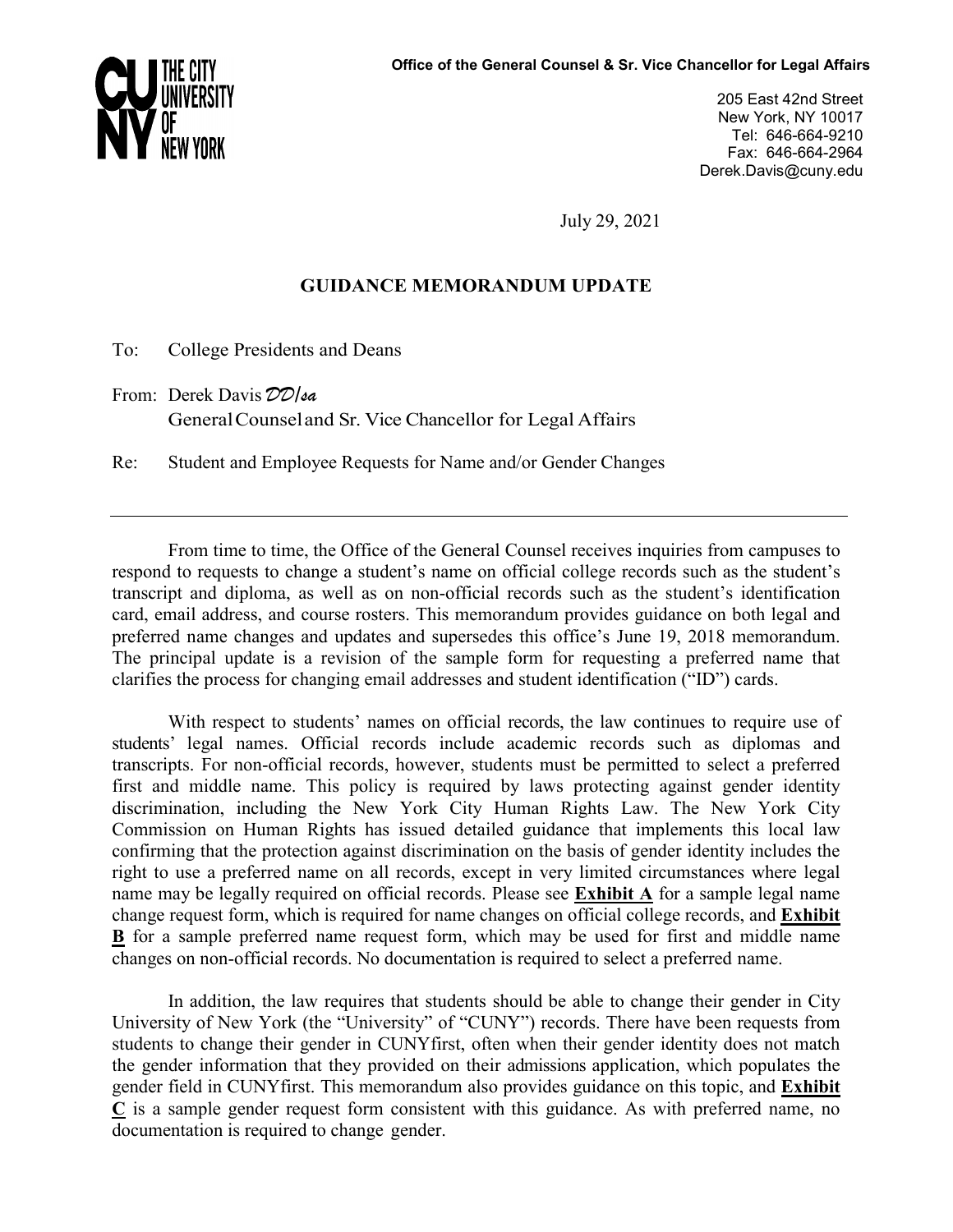

205 East 42nd Street New York, NY 10017 Tel: 646-664-9210 Fax: 646-664-2964 Derek.Davis@cuny.edu

July 29, 2021

# **GUIDANCE MEMORANDUM UPDATE**

To: College Presidents and Deans

From: Derek Davis *DD/sa* GeneralCounseland Sr. Vice Chancellor for Legal Affairs

Re: Student and Employee Requests for Name and/or Gender Changes

From time to time, the Office of the General Counsel receives inquiries from campuses to respond to requests to change a student's name on official college records such as the student's transcript and diploma, as well as on non-official records such as the student's identification card, email address, and course rosters. This memorandum provides guidance on both legal and preferred name changes and updates and supersedes this office's June 19, 2018 memorandum. The principal update is a revision of the sample form for requesting a preferred name that clarifies the process for changing email addresses and student identification ("ID") cards.

With respect to students' names on official records, the law continues to require use of students' legal names. Official records include academic records such as diplomas and transcripts. For non-official records, however, students must be permitted to select a preferred first and middle name. This policy is required by laws protecting against gender identity discrimination, including the New York City Human Rights Law. The New York City Commission on Human Rights has issued detailed guidance that implements this local law confirming that the protection against discrimination on the basis of gender identity includes the right to use a preferred name on all records, except in very limited circumstances where legal name may be legally required on official records. Please see **Exhibit A** for a sample legal name change request form, which is required for name changes on official college records, and **Exhibit B** for a sample preferred name request form, which may be used for first and middle name changes on non-official records. No documentation is required to select a preferred name.

In addition, the law requires that students should be able to change their gender in City University of New York (the "University" of "CUNY") records. There have been requests from students to change their gender in CUNYfirst, often when their gender identity does not match the gender information that they provided on their admissions application, which populates the gender field in CUNYfirst. This memorandum also provides guidance on this topic, and **Exhibit**   $\overline{C}$  is a sample gender request form consistent with this guidance. As with preferred name, no documentation is required to change gender.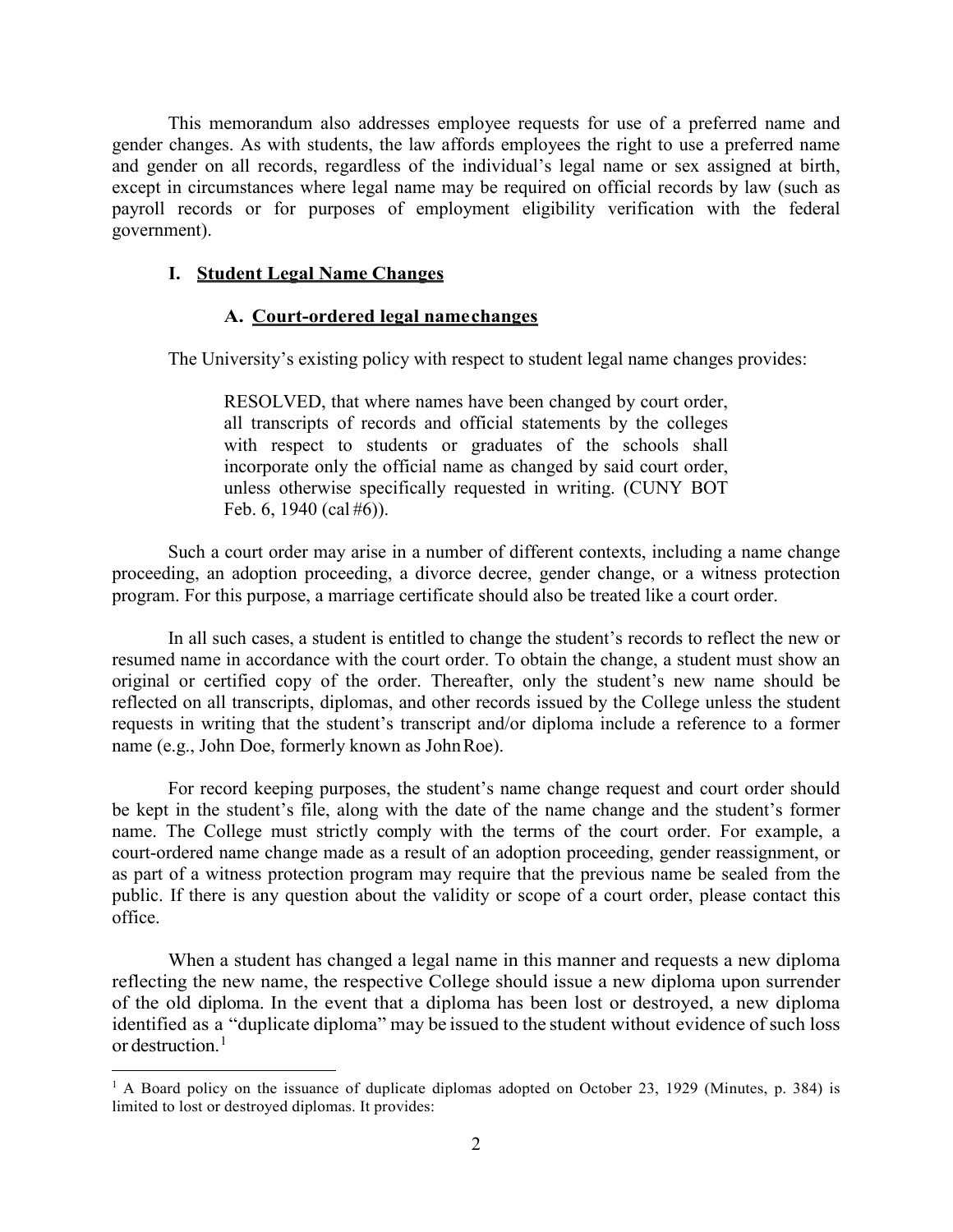This memorandum also addresses employee requests for use of a preferred name and gender changes. As with students, the law affords employees the right to use a preferred name and gender on all records, regardless of the individual's legal name or sex assigned at birth, except in circumstances where legal name may be required on official records by law (such as payroll records or for purposes of employment eligibility verification with the federal government).

# **I. Student Legal Name Changes**

# **A. Court-ordered legal namechanges**

The University's existing policy with respect to student legal name changes provides:

RESOLVED, that where names have been changed by court order, all transcripts of records and official statements by the colleges with respect to students or graduates of the schools shall incorporate only the official name as changed by said court order, unless otherwise specifically requested in writing. (CUNY BOT Feb. 6, 1940 (cal #6)).

Such a court order may arise in a number of different contexts, including a name change proceeding, an adoption proceeding, a divorce decree, gender change, or a witness protection program. For this purpose, a marriage certificate should also be treated like a court order.

In all such cases, a student is entitled to change the student's records to reflect the new or resumed name in accordance with the court order. To obtain the change, a student must show an original or certified copy of the order. Thereafter, only the student's new name should be reflected on all transcripts, diplomas, and other records issued by the College unless the student requests in writing that the student's transcript and/or diploma include a reference to a former name (e.g., John Doe, formerly known as JohnRoe).

For record keeping purposes, the student's name change request and court order should be kept in the student's file, along with the date of the name change and the student's former name. The College must strictly comply with the terms of the court order. For example, a court-ordered name change made as a result of an adoption proceeding, gender reassignment, or as part of a witness protection program may require that the previous name be sealed from the public. If there is any question about the validity or scope of a court order, please contact this office.

When a student has changed a legal name in this manner and requests a new diploma reflecting the new name, the respective College should issue a new diploma upon surrender of the old diploma. In the event that a diploma has been lost or destroyed, a new diploma identified as a "duplicate diploma" may be issued to the student without evidence of such loss or destruction.<sup>[1](#page-1-0)</sup>

<span id="page-1-0"></span> $1$  A Board policy on the issuance of duplicate diplomas adopted on October 23, 1929 (Minutes, p. 384) is limited to lost or destroyed diplomas. It provides: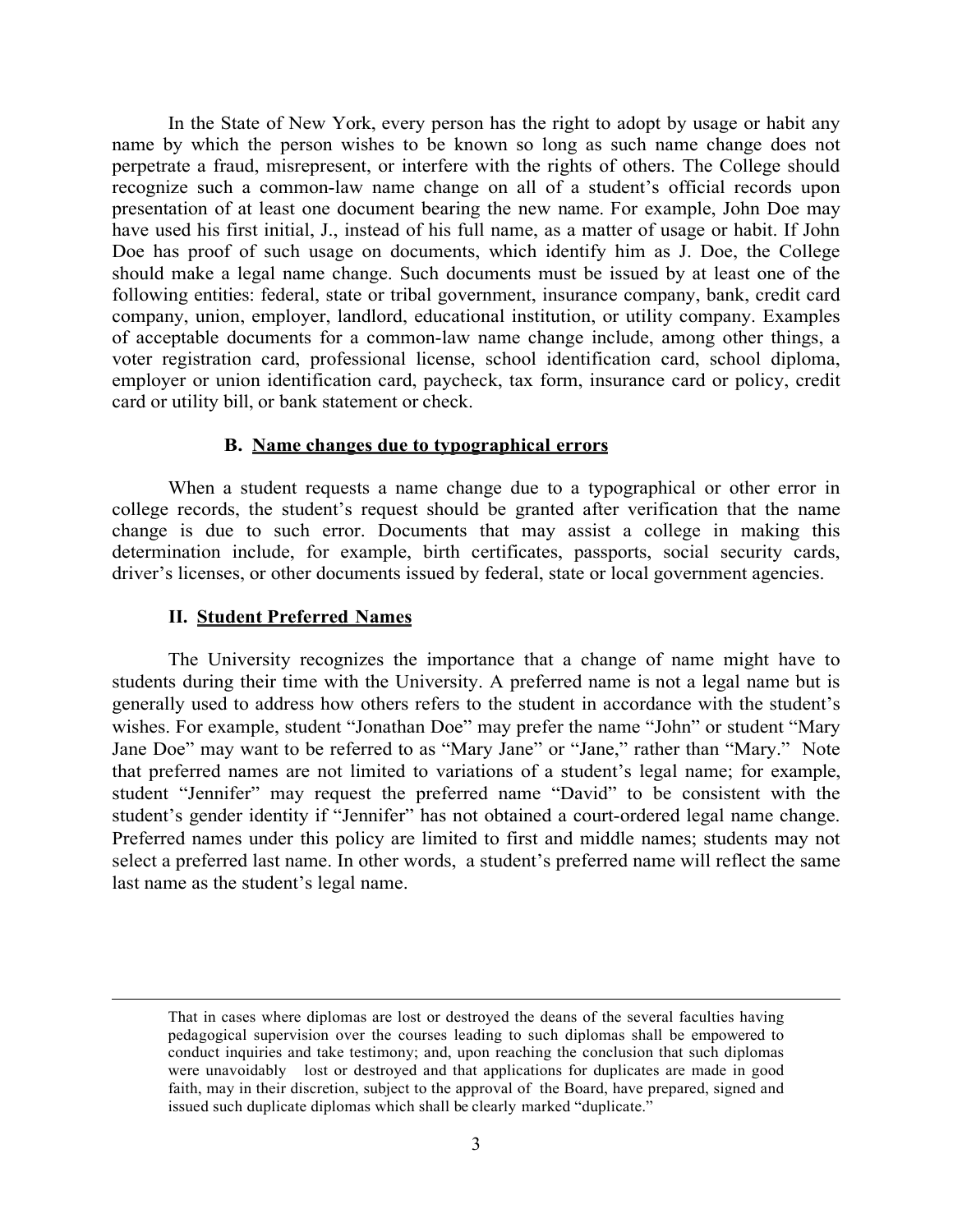In the State of New York, every person has the right to adopt by usage or habit any name by which the person wishes to be known so long as such name change does not perpetrate a fraud, misrepresent, or interfere with the rights of others. The College should recognize such a common-law name change on all of a student's official records upon presentation of at least one document bearing the new name. For example, John Doe may have used his first initial, J., instead of his full name, as a matter of usage or habit. If John Doe has proof of such usage on documents, which identify him as J. Doe, the College should make a legal name change. Such documents must be issued by at least one of the following entities: federal, state or tribal government, insurance company, bank, credit card company, union, employer, landlord, educational institution, or utility company. Examples of acceptable documents for a common-law name change include, among other things, a voter registration card, professional license, school identification card, school diploma, employer or union identification card, paycheck, tax form, insurance card or policy, credit card or utility bill, or bank statement or check.

## **B. Name changes due to typographical errors**

When a student requests a name change due to a typographical or other error in college records, the student's request should be granted after verification that the name change is due to such error. Documents that may assist a college in making this determination include, for example, birth certificates, passports, social security cards, driver's licenses, or other documents issued by federal, state or local government agencies.

#### **II. Student Preferred Names**

 $\overline{a}$ 

The University recognizes the importance that a change of name might have to students during their time with the University. A preferred name is not a legal name but is generally used to address how others refers to the student in accordance with the student's wishes. For example, student "Jonathan Doe" may prefer the name "John" or student "Mary Jane Doe" may want to be referred to as "Mary Jane" or "Jane," rather than "Mary." Note that preferred names are not limited to variations of a student's legal name; for example, student "Jennifer" may request the preferred name "David" to be consistent with the student's gender identity if "Jennifer" has not obtained a court-ordered legal name change. Preferred names under this policy are limited to first and middle names; students may not select a preferred last name. In other words, a student's preferred name will reflect the same last name as the student's legal name.

That in cases where diplomas are lost or destroyed the deans of the several faculties having pedagogical supervision over the courses leading to such diplomas shall be empowered to conduct inquiries and take testimony; and, upon reaching the conclusion that such diplomas were unavoidably lost or destroyed and that applications for duplicates are made in good faith, may in their discretion, subject to the approval of the Board, have prepared, signed and issued such duplicate diplomas which shall be clearly marked "duplicate."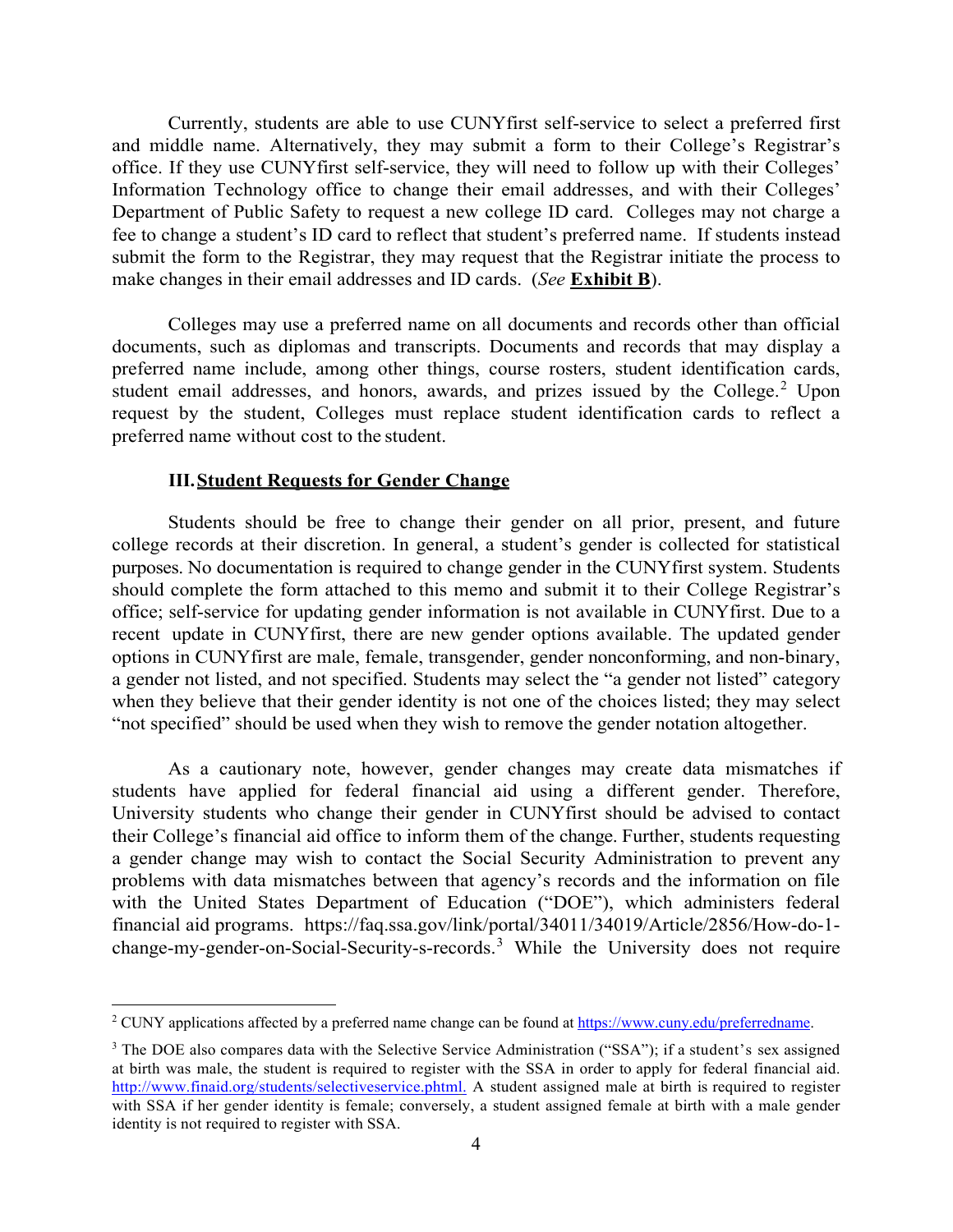Currently, students are able to use CUNYfirst self-service to select a preferred first and middle name. Alternatively, they may submit a form to their College's Registrar's office. If they use CUNYfirst self-service, they will need to follow up with their Colleges' Information Technology office to change their email addresses, and with their Colleges' Department of Public Safety to request a new college ID card. Colleges may not charge a fee to change a student's ID card to reflect that student's preferred name. If students instead submit the form to the Registrar, they may request that the Registrar initiate the process to make changes in their email addresses and ID cards. (*See* **Exhibit B**).

Colleges may use a preferred name on all documents and records other than official documents, such as diplomas and transcripts. Documents and records that may display a preferred name include, among other things, course rosters, student identification cards, student email addresses, and honors, awards, and prizes issued by the College.<sup>[2](#page-3-0)</sup> Upon request by the student, Colleges must replace student identification cards to reflect a preferred name without cost to the student.

## **III.Student Requests for Gender Change**

Students should be free to change their gender on all prior, present, and future college records at their discretion. In general, a student's gender is collected for statistical purposes. No documentation is required to change gender in the CUNYfirst system. Students should complete the form attached to this memo and submit it to their College Registrar's office; self-service for updating gender information is not available in CUNYfirst. Due to a recent update in CUNYfirst, there are new gender options available. The updated gender options in CUNYfirst are male, female, transgender, gender nonconforming, and non-binary, a gender not listed, and not specified. Students may select the "a gender not listed" category when they believe that their gender identity is not one of the choices listed; they may select "not specified" should be used when they wish to remove the gender notation altogether.

As a cautionary note, however, gender changes may create data mismatches if students have applied for federal financial aid using a different gender. Therefore, University students who change their gender in CUNYfirst should be advised to contact their College's financial aid office to inform them of the change. Further, students requesting a gender change may wish to contact the Social Security Administration to prevent any problems with data mismatches between that agency's records and the information on file with the United States Department of Education ("DOE"), which administers federal financial aid programs. https://faq.ssa.gov/link/portal/34011/34019/Article/2856/How-do-1 change-my-gender-on-Social-Security-s-records. [3](#page-3-1) While the University does not require

<span id="page-3-0"></span> <sup>2</sup> CUNY applications affected by a preferred name change can be found at [https://www.cuny.edu/preferredname.](https://www.cuny.edu/preferredname)

<span id="page-3-1"></span><sup>&</sup>lt;sup>3</sup> The DOE also compares data with the Selective Service Administration ("SSA"); if a student's sex assigned at birth was male, the student is required to register with the SSA in order to apply for federal financial aid. <http://www.finaid.org/students/selectiveservice.phtml.> A student assigned male at birth is required to register with SSA if her gender identity is female; conversely, a student assigned female at birth with a male gender identity is not required to register with SSA.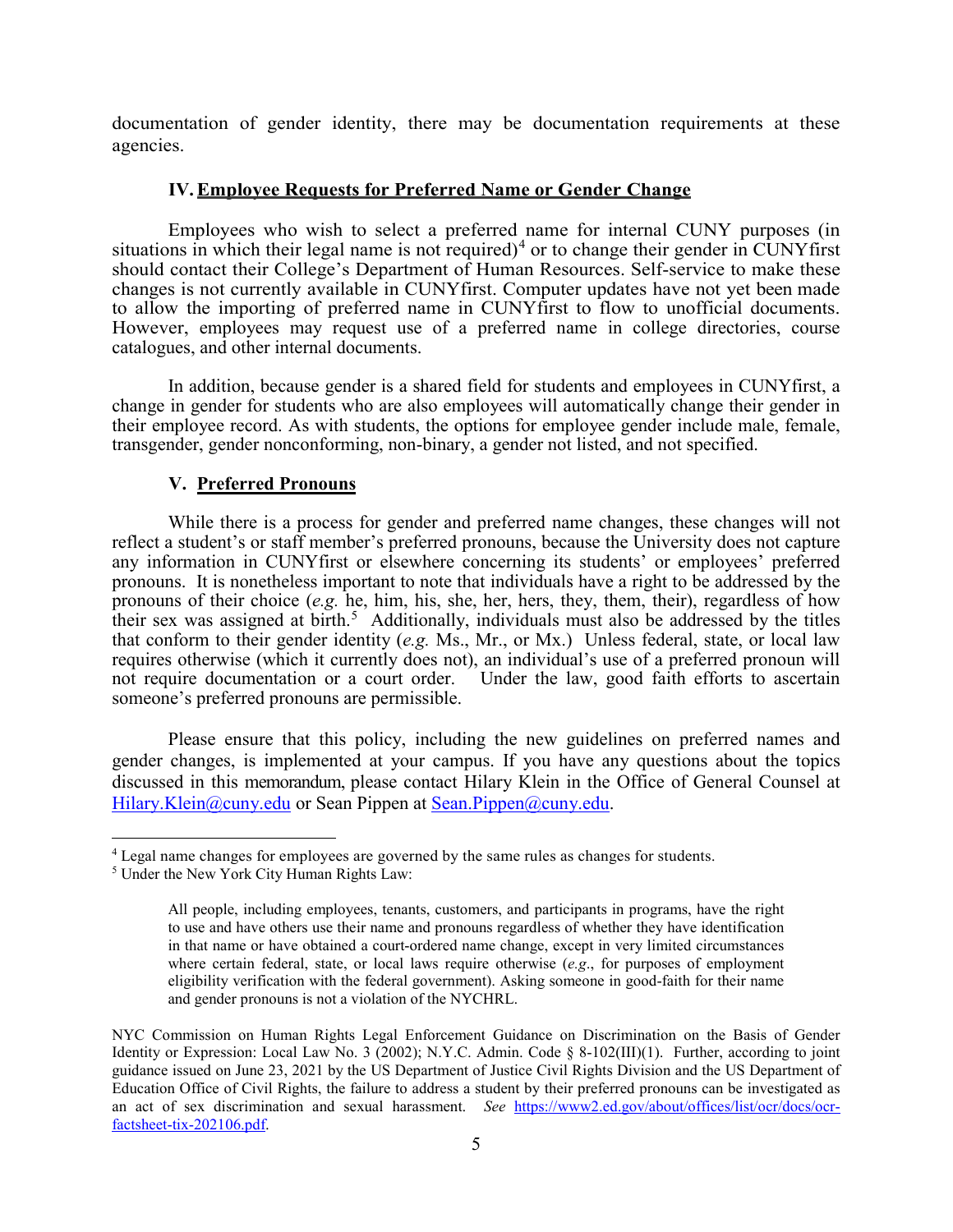documentation of gender identity, there may be documentation requirements at these agencies.

# **IV.Employee Requests for Preferred Name or Gender Change**

Employees who wish to select a preferred name for internal CUNY purposes (in situations in which their legal name is not required)<sup>[4](#page-4-0)</sup> or to change their gender in CUNYfirst should contact their College's Department of Human Resources. Self-service to make these changes is not currently available in CUNYfirst. Computer updates have not yet been made to allow the importing of preferred name in CUNYfirst to flow to unofficial documents. However, employees may request use of a preferred name in college directories, course catalogues, and other internal documents.

In addition, because gender is a shared field for students and employees in CUNYfirst, a change in gender for students who are also employees will automatically change their gender in their employee record. As with students, the options for employee gender include male, female, transgender, gender nonconforming, non-binary, a gender not listed, and not specified.

# **V. Preferred Pronouns**

While there is a process for gender and preferred name changes, these changes will not reflect a student's or staff member's preferred pronouns, because the University does not capture any information in CUNYfirst or elsewhere concerning its students' or employees' preferred pronouns. It is nonetheless important to note that individuals have a right to be addressed by the pronouns of their choice (*e.g.* he, him, his, she, her, hers, they, them, their), regardless of how their sex was assigned at birth. [5](#page-4-1) Additionally, individuals must also be addressed by the titles that conform to their gender identity (*e.g.* Ms., Mr., or Mx.) Unless federal, state, or local law requires otherwise (which it currently does not), an individual's use of a preferred pronoun will not require documentation or a court order. Under the law, good faith efforts to ascertain someone's preferred pronouns are permissible.

Please ensure that this policy, including the new guidelines on preferred names and gender changes, is implemented at your campus. If you have any questions about the topics discussed in this memorandum, please contact Hilary Klein in the Office of General Counsel at [Hilary.Klein@cuny.edu](mailto:Hilary.Klein@cuny.edu) or Sean Pippen at [Sean.Pippen@cuny.edu.](mailto:Sean.Pippen@cuny.edu)

<span id="page-4-0"></span><sup>&</sup>lt;sup>4</sup> Legal name changes for employees are governed by the same rules as changes for students.

<span id="page-4-1"></span><sup>5</sup> Under the New York City Human Rights Law:

All people, including employees, tenants, customers, and participants in programs, have the right to use and have others use their name and pronouns regardless of whether they have identification in that name or have obtained a court-ordered name change, except in very limited circumstances where certain federal, state, or local laws require otherwise (*e.g*., for purposes of employment eligibility verification with the federal government). Asking someone in good-faith for their name and gender pronouns is not a violation of the NYCHRL.

NYC Commission on Human Rights Legal Enforcement Guidance on Discrimination on the Basis of Gender Identity or Expression: Local Law No. 3 (2002); N.Y.C. Admin. Code § 8-102(III)(1). Further, according to joint guidance issued on June 23, 2021 by the US Department of Justice Civil Rights Division and the US Department of Education Office of Civil Rights, the failure to address a student by their preferred pronouns can be investigated as an act of sex discrimination and sexual harassment. *See* [https://www2.ed.gov/about/offices/list/ocr/docs/ocr](https://www2.ed.gov/about/offices/list/ocr/docs/ocr-factsheet-tix-202106.pdf)[factsheet-tix-202106.pdf.](https://www2.ed.gov/about/offices/list/ocr/docs/ocr-factsheet-tix-202106.pdf)